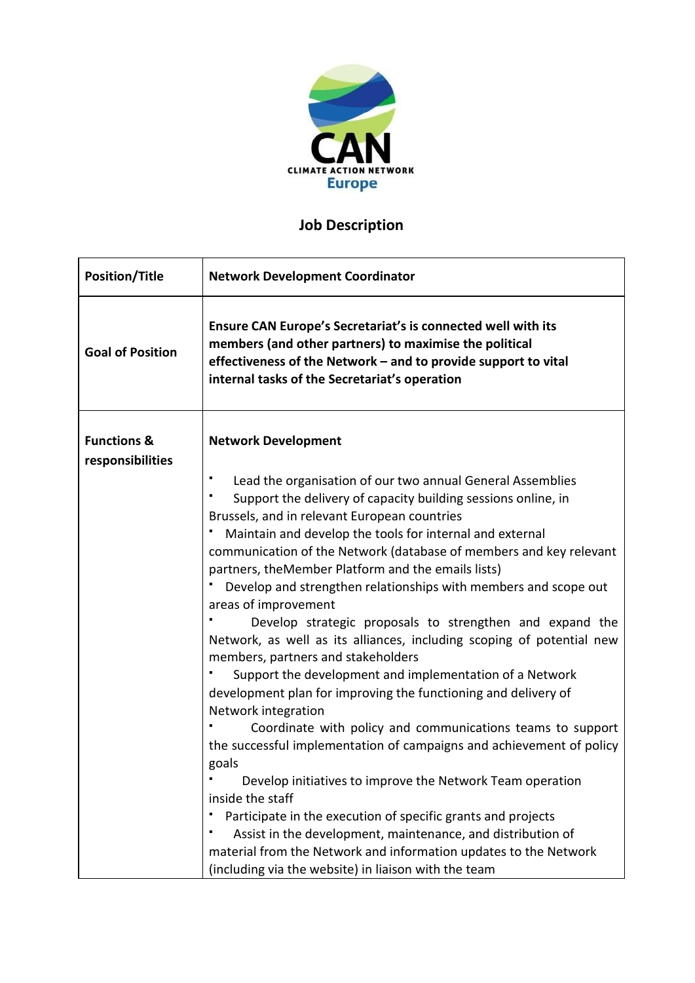

## **Job Description**

| <b>Position/Title</b>                      | <b>Network Development Coordinator</b>                                                                                                                                                                                                                                                                                                                                                                                                                                                                                                                                                                                                                                                                                                                                                                                                                                                                                                                                                                                                                                                                                                                                                                                                                                                    |
|--------------------------------------------|-------------------------------------------------------------------------------------------------------------------------------------------------------------------------------------------------------------------------------------------------------------------------------------------------------------------------------------------------------------------------------------------------------------------------------------------------------------------------------------------------------------------------------------------------------------------------------------------------------------------------------------------------------------------------------------------------------------------------------------------------------------------------------------------------------------------------------------------------------------------------------------------------------------------------------------------------------------------------------------------------------------------------------------------------------------------------------------------------------------------------------------------------------------------------------------------------------------------------------------------------------------------------------------------|
| <b>Goal of Position</b>                    | Ensure CAN Europe's Secretariat's is connected well with its<br>members (and other partners) to maximise the political<br>effectiveness of the Network - and to provide support to vital<br>internal tasks of the Secretariat's operation                                                                                                                                                                                                                                                                                                                                                                                                                                                                                                                                                                                                                                                                                                                                                                                                                                                                                                                                                                                                                                                 |
| <b>Functions &amp;</b><br>responsibilities | <b>Network Development</b>                                                                                                                                                                                                                                                                                                                                                                                                                                                                                                                                                                                                                                                                                                                                                                                                                                                                                                                                                                                                                                                                                                                                                                                                                                                                |
|                                            | Lead the organisation of our two annual General Assemblies<br>Support the delivery of capacity building sessions online, in<br>Brussels, and in relevant European countries<br>Maintain and develop the tools for internal and external<br>communication of the Network (database of members and key relevant<br>partners, the Member Platform and the emails lists)<br>Develop and strengthen relationships with members and scope out<br>areas of improvement<br>Develop strategic proposals to strengthen and expand the<br>Network, as well as its alliances, including scoping of potential new<br>members, partners and stakeholders<br>Support the development and implementation of a Network<br>development plan for improving the functioning and delivery of<br>Network integration<br>Coordinate with policy and communications teams to support<br>the successful implementation of campaigns and achievement of policy<br>goals<br>Develop initiatives to improve the Network Team operation<br>inside the staff<br>Participate in the execution of specific grants and projects<br>Assist in the development, maintenance, and distribution of<br>material from the Network and information updates to the Network<br>(including via the website) in liaison with the team |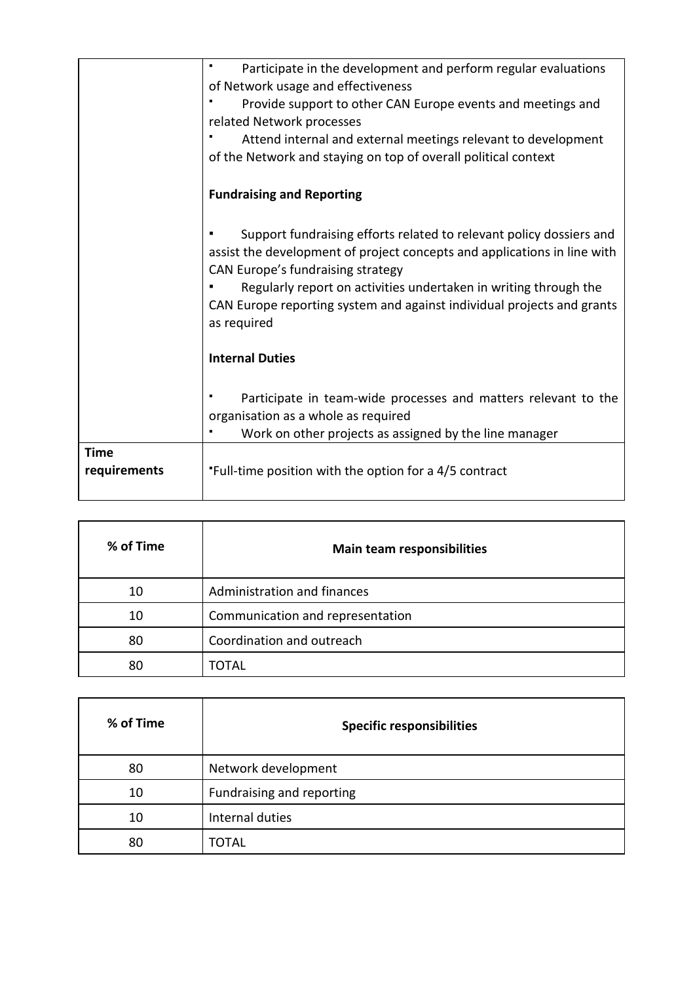|              | Participate in the development and perform regular evaluations                                                                                                                       |
|--------------|--------------------------------------------------------------------------------------------------------------------------------------------------------------------------------------|
|              | of Network usage and effectiveness                                                                                                                                                   |
|              | Provide support to other CAN Europe events and meetings and                                                                                                                          |
|              | related Network processes                                                                                                                                                            |
|              | Attend internal and external meetings relevant to development                                                                                                                        |
|              | of the Network and staying on top of overall political context                                                                                                                       |
|              | <b>Fundraising and Reporting</b>                                                                                                                                                     |
|              | Support fundraising efforts related to relevant policy dossiers and<br>assist the development of project concepts and applications in line with<br>CAN Europe's fundraising strategy |
|              | Regularly report on activities undertaken in writing through the                                                                                                                     |
|              | CAN Europe reporting system and against individual projects and grants<br>as required                                                                                                |
|              | <b>Internal Duties</b>                                                                                                                                                               |
|              | Participate in team-wide processes and matters relevant to the                                                                                                                       |
|              | organisation as a whole as required<br>Work on other projects as assigned by the line manager                                                                                        |
| <b>Time</b>  |                                                                                                                                                                                      |
| requirements | "Full-time position with the option for a 4/5 contract                                                                                                                               |
|              |                                                                                                                                                                                      |

| % of Time | <b>Main team responsibilities</b> |
|-----------|-----------------------------------|
| 10        | Administration and finances       |
| 10        | Communication and representation  |
| 80        | Coordination and outreach         |
| 80        | TOTAL                             |

| % of Time | <b>Specific responsibilities</b> |
|-----------|----------------------------------|
| 80        | Network development              |
| 10        | Fundraising and reporting        |
| 10        | Internal duties                  |
| 80        | TOTAL                            |